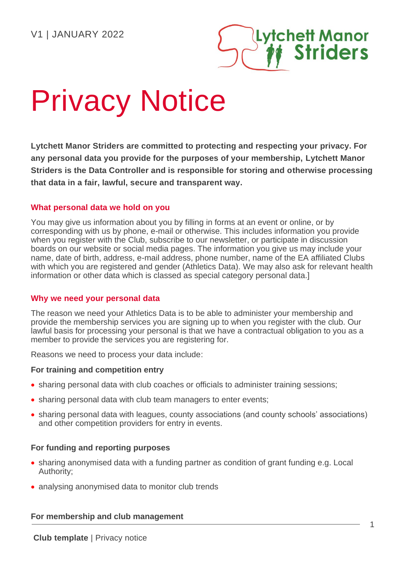

# Privacy Notice

**Lytchett Manor Striders are committed to protecting and respecting your privacy. For any personal data you provide for the purposes of your membership, Lytchett Manor Striders is the Data Controller and is responsible for storing and otherwise processing that data in a fair, lawful, secure and transparent way.**

# **What personal data we hold on you**

You may give us information about you by filling in forms at an event or online, or by corresponding with us by phone, e-mail or otherwise. This includes information you provide when you register with the Club, subscribe to our newsletter, or participate in discussion boards on our website or social media pages. The information you give us may include your name, date of birth, address, e-mail address, phone number, name of the EA affiliated Clubs with which you are registered and gender (Athletics Data). We may also ask for relevant health information or other data which is classed as special category personal data.]

# **Why we need your personal data**

The reason we need your Athletics Data is to be able to administer your membership and provide the membership services you are signing up to when you register with the club. Our lawful basis for processing your personal is that we have a contractual obligation to you as a member to provide the services you are registering for.

Reasons we need to process your data include:

## **For training and competition entry**

- sharing personal data with club coaches or officials to administer training sessions;
- sharing personal data with club team managers to enter events;
- sharing personal data with leagues, county associations (and county schools' associations) and other competition providers for entry in events.

# **For funding and reporting purposes**

- sharing anonymised data with a funding partner as condition of grant funding e.g. Local Authority;
- analysing anonymised data to monitor club trends

## **For membership and club management**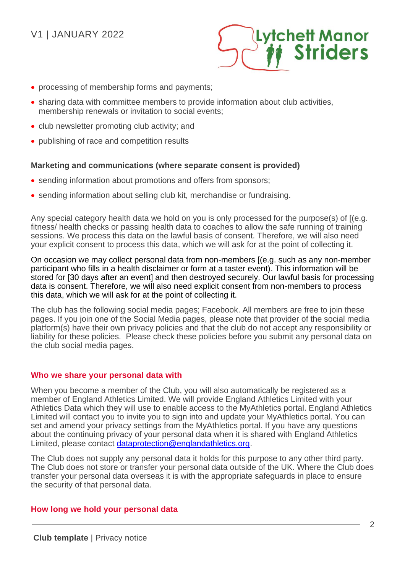# V1 | JANUARY 2022



- processing of membership forms and payments;
- sharing data with committee members to provide information about club activities, membership renewals or invitation to social events;
- club newsletter promoting club activity; and
- publishing of race and competition results

## **Marketing and communications (where separate consent is provided)**

- sending information about promotions and offers from sponsors;
- sending information about selling club kit, merchandise or fundraising.

Any special category health data we hold on you is only processed for the purpose(s) of [(e.g. fitness/ health checks or passing health data to coaches to allow the safe running of training sessions. We process this data on the lawful basis of consent. Therefore, we will also need your explicit consent to process this data, which we will ask for at the point of collecting it.

On occasion we may collect personal data from non-members [(e.g. such as any non-member participant who fills in a health disclaimer or form at a taster event). This information will be stored for [30 days after an event] and then destroyed securely. Our lawful basis for processing data is consent. Therefore, we will also need explicit consent from non-members to process this data, which we will ask for at the point of collecting it.

The club has the following social media pages; Facebook. All members are free to join these pages. If you join one of the Social Media pages, please note that provider of the social media platform(s) have their own privacy policies and that the club do not accept any responsibility or liability for these policies. Please check these policies before you submit any personal data on the club social media pages.

### **Who we share your personal data with**

When you become a member of the Club, you will also automatically be registered as a member of England Athletics Limited. We will provide England Athletics Limited with your Athletics Data which they will use to enable access to the MyAthletics portal. England Athletics Limited will contact you to invite you to sign into and update your MyAthletics portal. You can set and amend your privacy settings from the MyAthletics portal. If you have any questions about the continuing privacy of your personal data when it is shared with England Athletics Limited, please contact [dataprotection@englandathletics.org.](mailto:dataprotection@englandathletics.org)

The Club does not supply any personal data it holds for this purpose to any other third party. The Club does not store or transfer your personal data outside of the UK. Where the Club does transfer your personal data overseas it is with the appropriate safeguards in place to ensure the security of that personal data.

### **How long we hold your personal data**